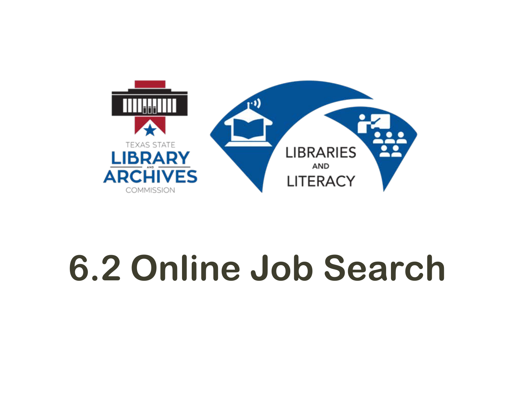

# **6.2 Online Job Search**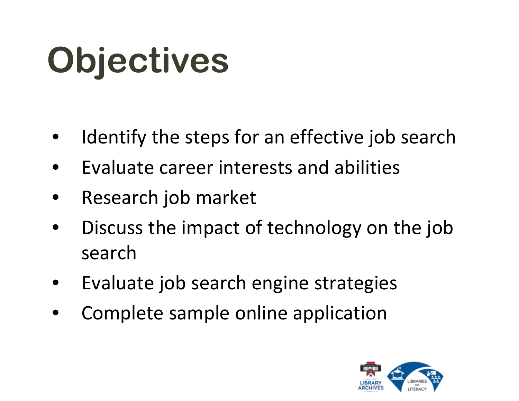# **Objectives**

- Identify the steps for an effective job search
- Evaluate career interests and abilities
- Research job market
- Discuss the impact of technology on the job search
- Evaluate job search engine strategies
- Complete sample online application

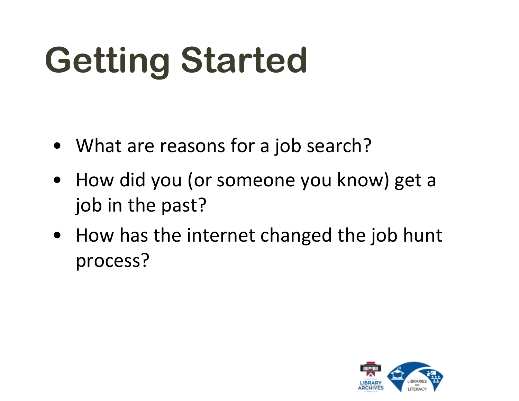# **Getting Started**

- What are reasons for a job search?
- How did you (or someone you know) get a job in the past?
- How has the internet changed the job hunt process?

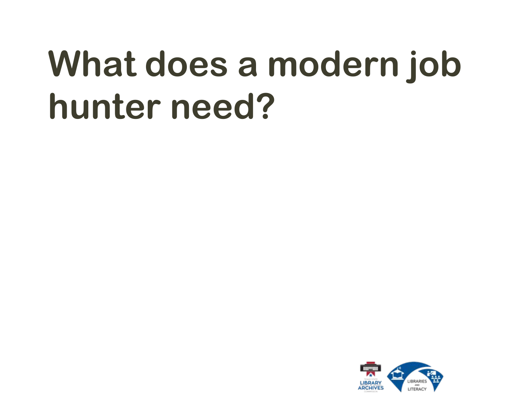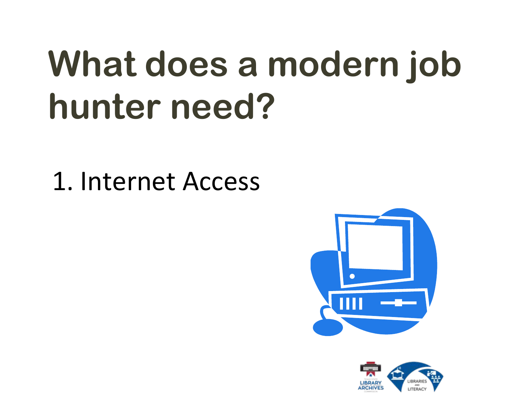1. Internet Access



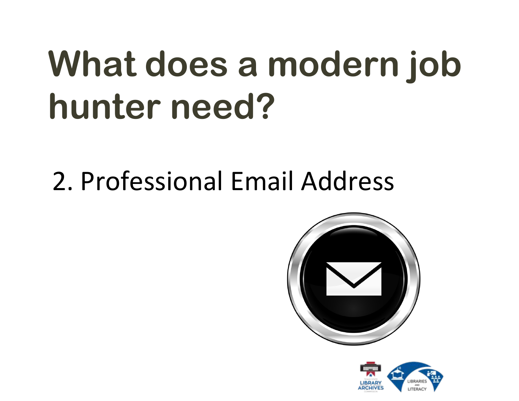2. Professional Email Address



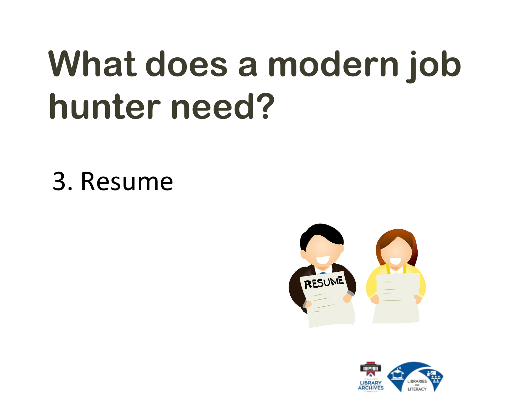## 3. Resume



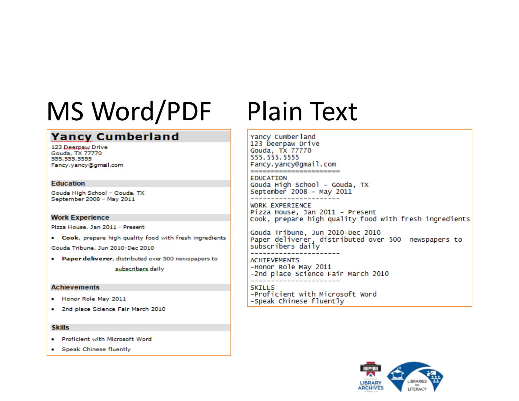## MS Word/PDF Plain Text

### **Yancy Cumberland**

123 Deerpaw Drive Gouda, TX 77770 555.555.5555 Fancy.yancy@gmail.com

### **Education**

Gouda High School - Gouda, TX September 2008 - May 2011

### **Work Experience**

Pizza House, Jan 2011 - Present

. Cook, prepare high quality food with fresh ingredients

Gouda Tribune, Jun 2010-Dec 2010

. Paper deliverer, distributed over 500 newspapers to

subscribers daily

### **Achievements**

- . Honor Role May 2011
- . 2nd place Science Fair March 2010

### **Skills**

- . Proficient with Microsoft Word
- Speak Chinese fluently

Yancy Cumberland 123 Deerpaw Drive Gouda, TX 77770 555, 555, 5555 Fancy.yancy@gmail.com \_\_\_\_\_\_\_\_\_\_\_\_\_\_\_\_\_\_\_\_\_\_\_\_

**EDUCATION** Gouda High School - Gouda, TX September 2008 - May 2011

**WORK EXPERIENCE** Pizza House, Jan 2011 - Present Cook, prepare high quality food with fresh ingredients

Gouda Tribune, Jun 2010-Dec 2010 Paper deliverer, distributed over 500 newspapers to subscribers daily

**ACHIEVEMENTS** -Honor Role May 2011 -2nd place Science Fair March 2010

**SKILLS** -Proficient with Microsoft Word -Speak Chinese fluently

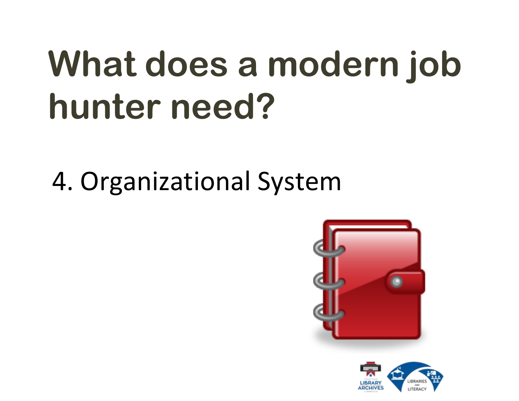4. Organizational System



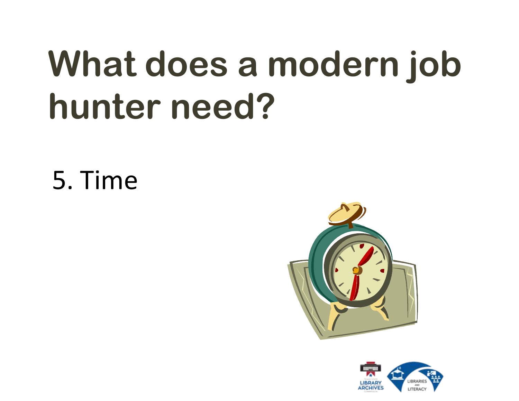5. Time



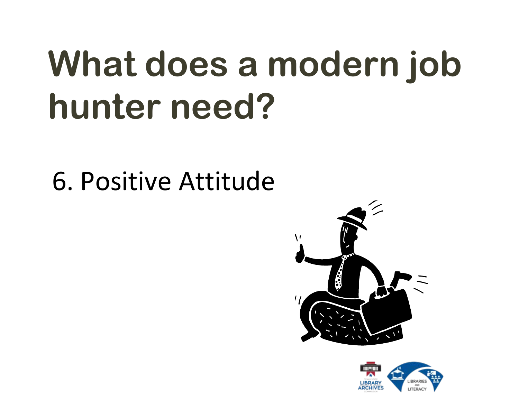6. Positive Attitude



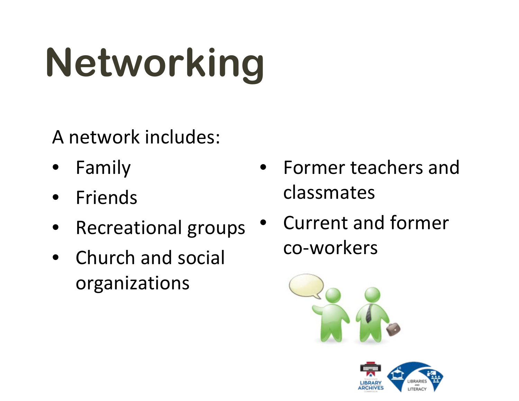# **Networking**

A network includes:

- **Family**
- Friends
- Recreational groups
- Church and social organizations
- Former teachers and classmates
- Current and former co-workers



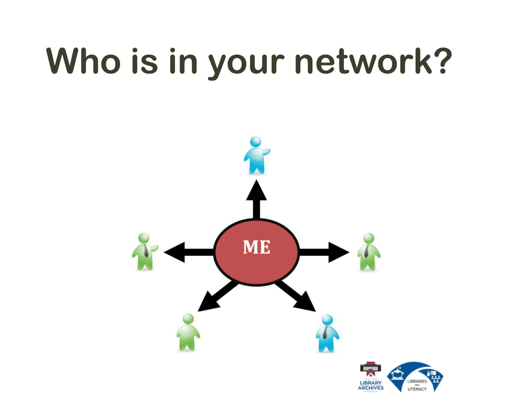# **Who is in your network?**

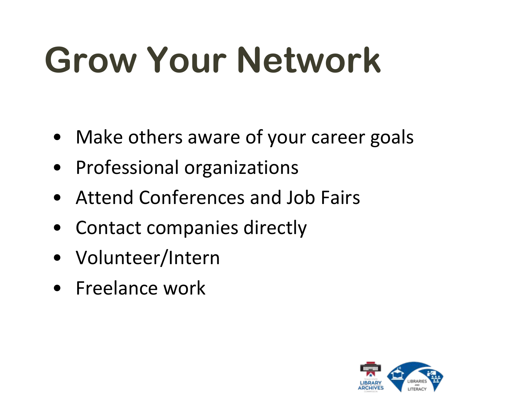# **Grow Your Network**

- Make others aware of your career goals
- Professional organizations
- Attend Conferences and Job Fairs
- Contact companies directly
- Volunteer/Intern
- Freelance work

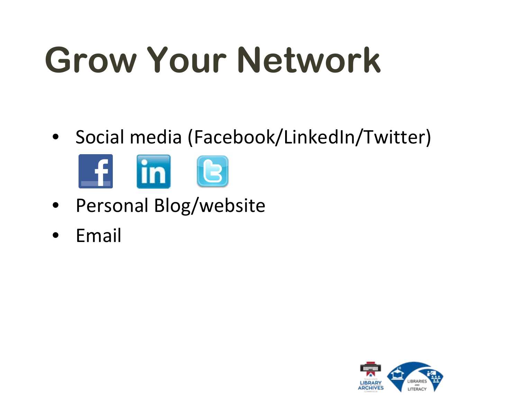# **Grow Your Network**

• Social media (Facebook/LinkedIn/Twitter)



- Personal Blog/website
- Email

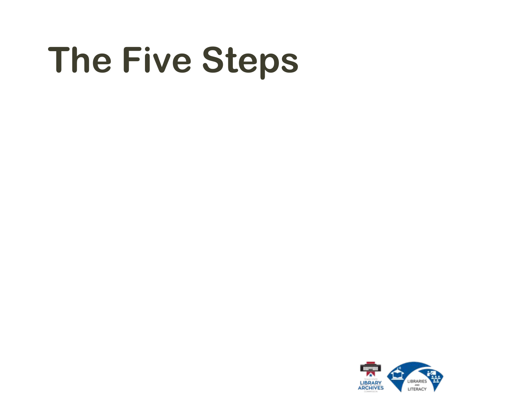# **The Five Steps**

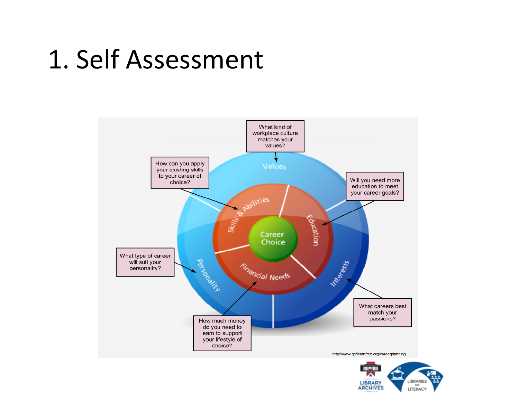## 1. Self Assessment



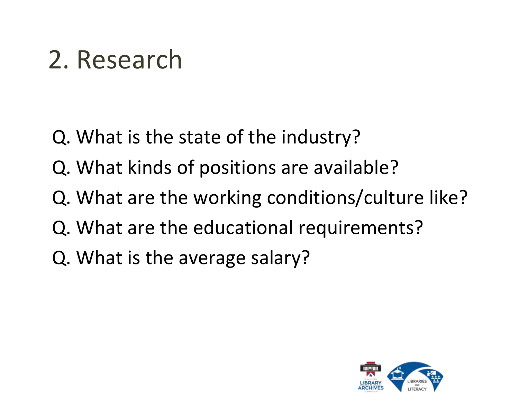## 2. Research

- Q. What is the state of the industry?
- Q. What kinds of positions are available?
- Q. What are the working conditions/culture like?
- Q. What are the educational requirements?
- Q. What is the average salary?

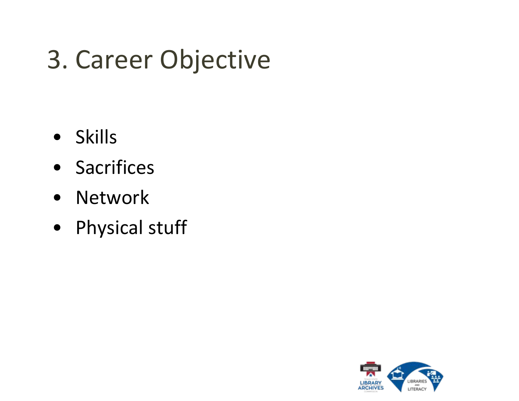## 3. Career Objective

- Skills
- Sacrifices
- Network
- Physical stuff

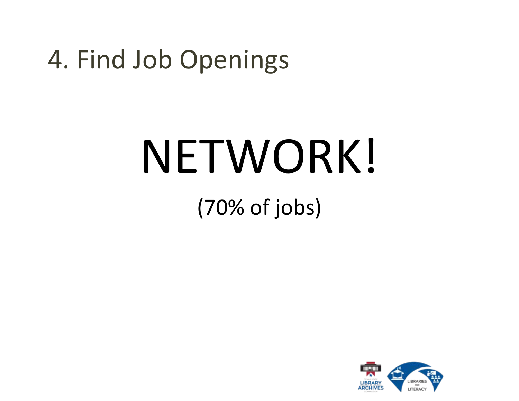## 4. Find Job Openings

# NETWORK!

### (70% of jobs)

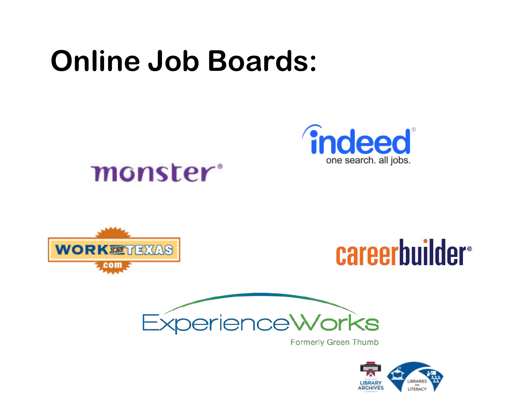## **Online Job Boards:**



### monster<sup>®</sup>







**Formerly Green Thumb** 

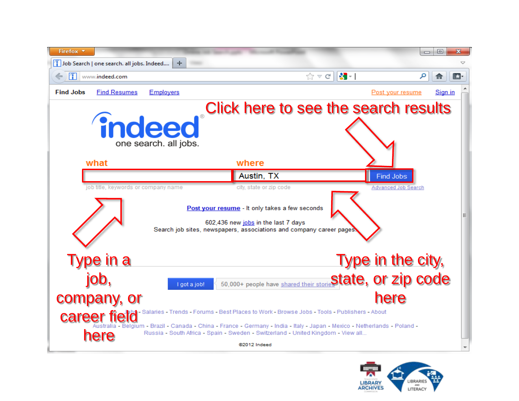

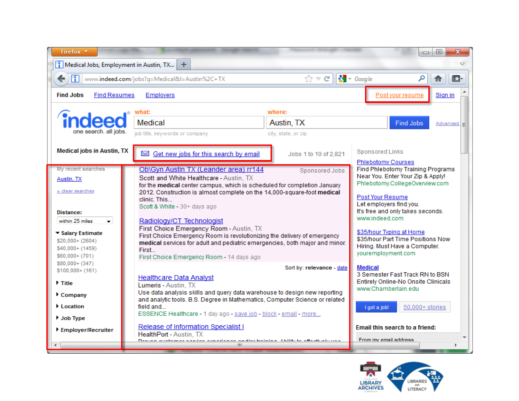

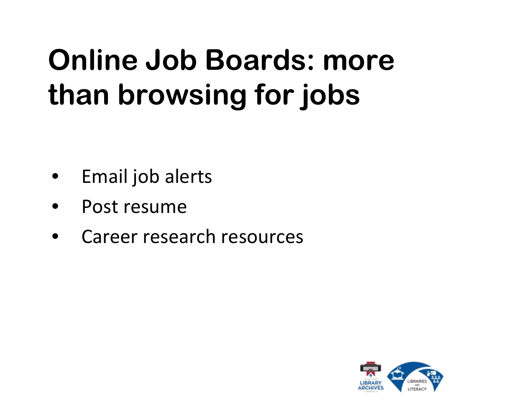## **Online Job Boards: more than browsing for jobs**

- Email job alerts
- Post resume
- Career research resources

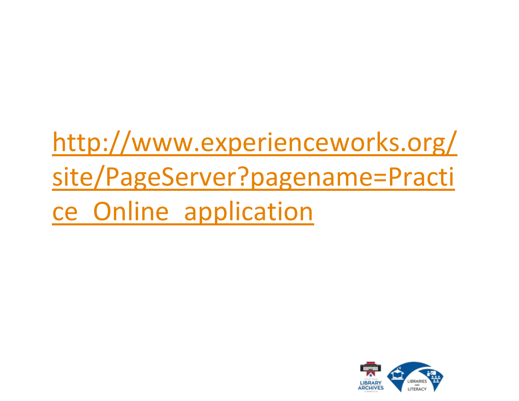[http://www.experienceworks.org/](http://www.experienceworks.org/site/PageServer?pagename=Practice_Online_application) [site/PageServer?pagename=Practi](http://www.experienceworks.org/site/PageServer?pagename=Practice_Online_application) [ce\\_Online\\_application](http://www.experienceworks.org/site/PageServer?pagename=Practice_Online_application)